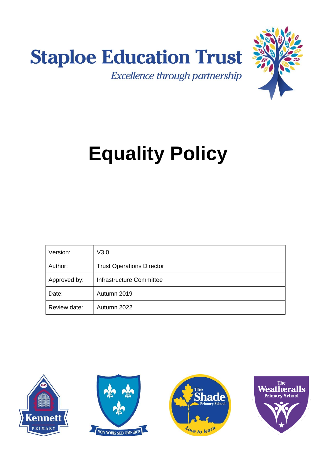



# **Equality Policy**

| Version:     | V3.0                             |
|--------------|----------------------------------|
| Author:      | <b>Trust Operations Director</b> |
| Approved by: | Infrastructure Committee         |
| Date:        | Autumn 2019                      |
| Review date: | Autumn 2022                      |







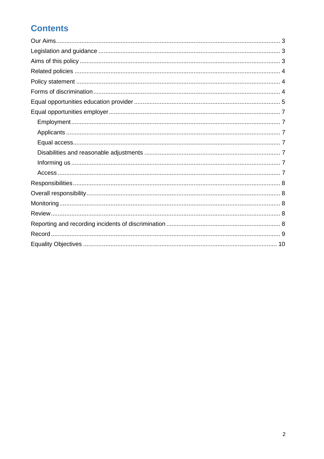# **Contents**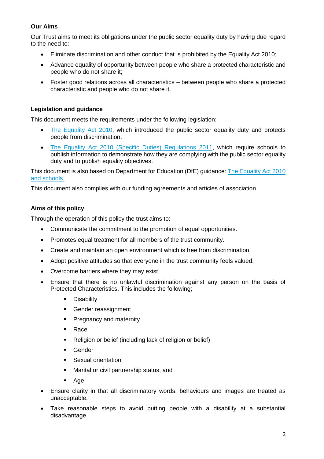# <span id="page-2-0"></span>**Our Aims**

Our Trust aims to meet its obligations under the public sector equality duty by having due regard to the need to:

- Eliminate discrimination and other conduct that is prohibited by the Equality Act 2010;
- Advance equality of opportunity between people who share a protected characteristic and people who do not share it;
- Foster good relations across all characteristics between people who share a protected characteristic and people who do not share it.

# <span id="page-2-1"></span>**Legislation and guidance**

This document meets the requirements under the following legislation:

- [The Equality Act 2010,](http://www.legislation.gov.uk/ukpga/2010/15/contents) which introduced the public sector equality duty and protects people from discrimination.
- [The Equality Act 2010 \(Specific Duties\) Regulations 2011,](http://www.legislation.gov.uk/uksi/2011/2260/contents/made) which require schools to publish information to demonstrate how they are complying with the public sector equality duty and to publish equality objectives.

This document is also based on Department for Education (DfE) guidance: [The Equality Act 2010](https://www.gov.uk/government/uploads/system/uploads/attachment_data/file/315587/Equality_Act_Advice_Final.pdf)  [and schools.](https://www.gov.uk/government/uploads/system/uploads/attachment_data/file/315587/Equality_Act_Advice_Final.pdf) 

<span id="page-2-2"></span>This document also complies with our funding agreements and articles of association.

# **Aims of this policy**

Through the operation of this policy the trust aims to:

- Communicate the commitment to the promotion of equal opportunities.
- Promotes equal treatment for all members of the trust community.
- Create and maintain an open environment which is free from discrimination.
- Adopt positive attitudes so that everyone in the trust community feels valued.
- Overcome barriers where they may exist.
- Ensure that there is no unlawful discrimination against any person on the basis of Protected Characteristics. This includes the following;
	- **Disability**
	- Gender reassignment
	- **Pregnancy and maternity**
	- Race
	- Religion or belief (including lack of religion or belief)
	- **Gender**
	- **Sexual orientation**
	- Marital or civil partnership status, and
	- Age
- Ensure clarity in that all discriminatory words, behaviours and images are treated as unacceptable.
- Take reasonable steps to avoid putting people with a disability at a substantial disadvantage.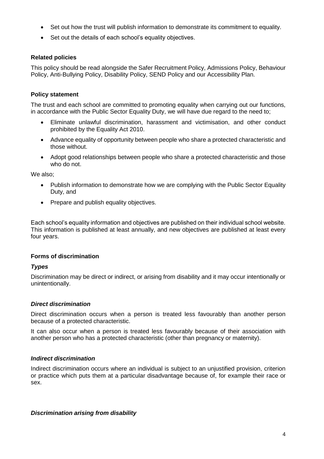- Set out how the trust will publish information to demonstrate its commitment to equality.
- Set out the details of each school's equality objectives.

# <span id="page-3-0"></span>**Related policies**

This policy should be read alongside the Safer Recruitment Policy, Admissions Policy, Behaviour Policy, Anti-Bullying Policy, Disability Policy, SEND Policy and our Accessibility Plan.

# <span id="page-3-1"></span>**Policy statement**

The trust and each school are committed to promoting equality when carrying out our functions, in accordance with the Public Sector Equality Duty, we will have due regard to the need to;

- Eliminate unlawful discrimination, harassment and victimisation, and other conduct prohibited by the Equality Act 2010.
- Advance equality of opportunity between people who share a protected characteristic and those without.
- Adopt good relationships between people who share a protected characteristic and those who do not.

We also;

- Publish information to demonstrate how we are complying with the Public Sector Equality Duty, and
- Prepare and publish equality objectives.

Each school's equality information and objectives are published on their individual school website. This information is published at least annually, and new objectives are published at least every four years.

# <span id="page-3-2"></span>**Forms of discrimination**

# *Types*

Discrimination may be direct or indirect, or arising from disability and it may occur intentionally or unintentionally.

# *Direct discrimination*

Direct discrimination occurs when a person is treated less favourably than another person because of a protected characteristic.

It can also occur when a person is treated less favourably because of their association with another person who has a protected characteristic (other than pregnancy or maternity).

# *Indirect discrimination*

Indirect discrimination occurs where an individual is subject to an unjustified provision, criterion or practice which puts them at a particular disadvantage because of, for example their race or sex.

# *Discrimination arising from disability*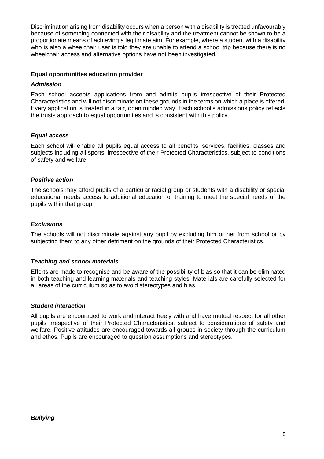Discrimination arising from disability occurs when a person with a disability is treated unfavourably because of something connected with their disability and the treatment cannot be shown to be a proportionate means of achieving a legitimate aim. For example, where a student with a disability who is also a wheelchair user is told they are unable to attend a school trip because there is no wheelchair access and alternative options have not been investigated.

# <span id="page-4-0"></span>**Equal opportunities education provider**

# *Admission*

Each school accepts applications from and admits pupils irrespective of their Protected Characteristics and will not discriminate on these grounds in the terms on which a place is offered. Every application is treated in a fair, open minded way. Each school's admissions policy reflects the trusts approach to equal opportunities and is consistent with this policy.

# *Equal access*

Each school will enable all pupils equal access to all benefits, services, facilities, classes and subjects including all sports, irrespective of their Protected Characteristics, subject to conditions of safety and welfare.

# *Positive action*

The schools may afford pupils of a particular racial group or students with a disability or special educational needs access to additional education or training to meet the special needs of the pupils within that group.

# *Exclusions*

The schools will not discriminate against any pupil by excluding him or her from school or by subjecting them to any other detriment on the grounds of their Protected Characteristics.

# *Teaching and school materials*

Efforts are made to recognise and be aware of the possibility of bias so that it can be eliminated in both teaching and learning materials and teaching styles. Materials are carefully selected for all areas of the curriculum so as to avoid stereotypes and bias.

# *Student interaction*

All pupils are encouraged to work and interact freely with and have mutual respect for all other pupils irrespective of their Protected Characteristics, subject to considerations of safety and welfare. Positive attitudes are encouraged towards all groups in society through the curriculum and ethos. Pupils are encouraged to question assumptions and stereotypes.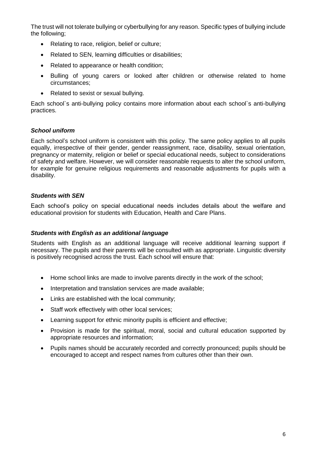The trust will not tolerate bullying or cyberbullying for any reason. Specific types of bullying include the following;

- Relating to race, religion, belief or culture;
- Related to SEN, learning difficulties or disabilities;
- Related to appearance or health condition;
- Bulling of young carers or looked after children or otherwise related to home circumstances;
- Related to sexist or sexual bullying.

Each school`s anti-bullying policy contains more information about each school`s anti-bullying practices.

#### *School uniform*

Each school's school uniform is consistent with this policy. The same policy applies to all pupils equally, irrespective of their gender, gender reassignment, race, disability, sexual orientation, pregnancy or maternity, religion or belief or special educational needs, subject to considerations of safety and welfare. However, we will consider reasonable requests to alter the school uniform, for example for genuine religious requirements and reasonable adjustments for pupils with a disability.

#### *Students with SEN*

Each school's policy on special educational needs includes details about the welfare and educational provision for students with Education, Health and Care Plans.

#### *Students with English as an additional language*

Students with English as an additional language will receive additional learning support if necessary. The pupils and their parents will be consulted with as appropriate. Linguistic diversity is positively recognised across the trust. Each school will ensure that:

- Home school links are made to involve parents directly in the work of the school;
- Interpretation and translation services are made available;
- Links are established with the local community;
- Staff work effectively with other local services;
- Learning support for ethnic minority pupils is efficient and effective;
- Provision is made for the spiritual, moral, social and cultural education supported by appropriate resources and information;
- Pupils names should be accurately recorded and correctly pronounced; pupils should be encouraged to accept and respect names from cultures other than their own.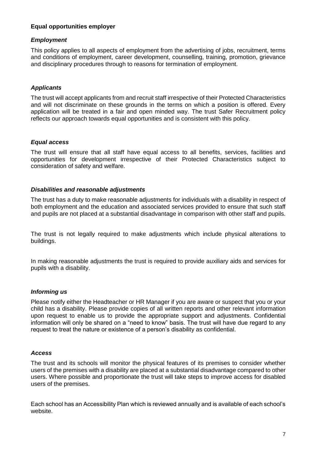# <span id="page-6-0"></span>**Equal opportunities employer**

# <span id="page-6-1"></span>*Employment*

This policy applies to all aspects of employment from the advertising of jobs, recruitment, terms and conditions of employment, career development, counselling, training, promotion, grievance and disciplinary procedures through to reasons for termination of employment.

# <span id="page-6-2"></span>*Applicants*

The trust will accept applicants from and recruit staff irrespective of their Protected Characteristics and will not discriminate on these grounds in the terms on which a position is offered. Every application will be treated in a fair and open minded way. The trust Safer Recruitment policy reflects our approach towards equal opportunities and is consistent with this policy.

# <span id="page-6-3"></span>*Equal access*

The trust will ensure that all staff have equal access to all benefits, services, facilities and opportunities for development irrespective of their Protected Characteristics subject to consideration of safety and welfare.

# <span id="page-6-4"></span>*Disabilities and reasonable adjustments*

The trust has a duty to make reasonable adjustments for individuals with a disability in respect of both employment and the education and associated services provided to ensure that such staff and pupils are not placed at a substantial disadvantage in comparison with other staff and pupils.

The trust is not legally required to make adjustments which include physical alterations to buildings.

In making reasonable adjustments the trust is required to provide auxiliary aids and services for pupils with a disability.

# <span id="page-6-5"></span>*Informing us*

Please notify either the Headteacher or HR Manager if you are aware or suspect that you or your child has a disability. Please provide copies of all written reports and other relevant information upon request to enable us to provide the appropriate support and adjustments. Confidential information will only be shared on a "need to know" basis. The trust will have due regard to any request to treat the nature or existence of a person's disability as confidential.

# <span id="page-6-6"></span>*Access*

The trust and its schools will monitor the physical features of its premises to consider whether users of the premises with a disability are placed at a substantial disadvantage compared to other users. Where possible and proportionate the trust will take steps to improve access for disabled users of the premises.

Each school has an Accessibility Plan which is reviewed annually and is available of each school's website.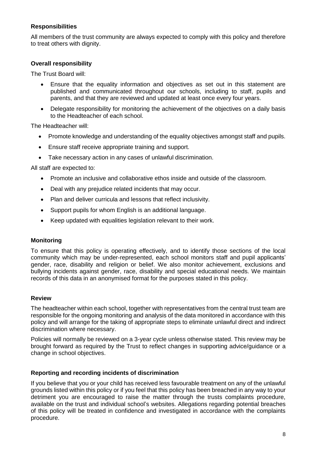# <span id="page-7-0"></span>**Responsibilities**

All members of the trust community are always expected to comply with this policy and therefore to treat others with dignity.

# <span id="page-7-1"></span>**Overall responsibility**

The Trust Board will:

- Ensure that the equality information and objectives as set out in this statement are published and communicated throughout our schools, including to staff, pupils and parents, and that they are reviewed and updated at least once every four years.
- Delegate responsibility for monitoring the achievement of the objectives on a daily basis to the Headteacher of each school.

The Headteacher will:

- Promote knowledge and understanding of the equality objectives amongst staff and pupils.
- Ensure staff receive appropriate training and support.
- Take necessary action in any cases of unlawful discrimination.

All staff are expected to:

- Promote an inclusive and collaborative ethos inside and outside of the classroom.
- Deal with any prejudice related incidents that may occur.
- Plan and deliver curricula and lessons that reflect inclusivity.
- Support pupils for whom English is an additional language.
- <span id="page-7-2"></span>• Keep updated with equalities legislation relevant to their work.

#### **Monitoring**

To ensure that this policy is operating effectively, and to identify those sections of the local community which may be under-represented, each school monitors staff and pupil applicants' gender, race, disability and religion or belief. We also monitor achievement, exclusions and bullying incidents against gender, race, disability and special educational needs. We maintain records of this data in an anonymised format for the purposes stated in this policy.

#### <span id="page-7-3"></span>**Review**

The headteacher within each school, together with representatives from the central trust team are responsible for the ongoing monitoring and analysis of the data monitored in accordance with this policy and will arrange for the taking of appropriate steps to eliminate unlawful direct and indirect discrimination where necessary.

Policies will normally be reviewed on a 3-year cycle unless otherwise stated. This review may be brought forward as required by the Trust to reflect changes in supporting advice/guidance or a change in school objectives.

#### <span id="page-7-4"></span>**Reporting and recording incidents of discrimination**

If you believe that you or your child has received less favourable treatment on any of the unlawful grounds listed within this policy or if you feel that this policy has been breached in any way to your detriment you are encouraged to raise the matter through the trusts complaints procedure, available on the trust and individual school's websites. Allegations regarding potential breaches of this policy will be treated in confidence and investigated in accordance with the complaints procedure.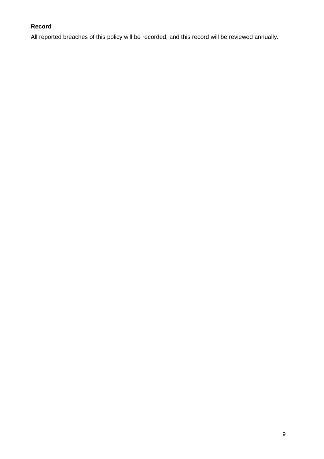# <span id="page-8-0"></span>**Record**

All reported breaches of this policy will be recorded, and this record will be reviewed annually.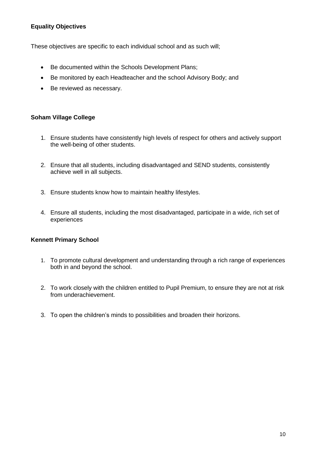# <span id="page-9-0"></span>**Equality Objectives**

These objectives are specific to each individual school and as such will;

- Be documented within the Schools Development Plans;
- Be monitored by each Headteacher and the school Advisory Body; and
- Be reviewed as necessary.

# **Soham Village College**

- 1. Ensure students have consistently high levels of respect for others and actively support the well-being of other students.
- 2. Ensure that all students, including disadvantaged and SEND students, consistently achieve well in all subjects.
- 3. Ensure students know how to maintain healthy lifestyles.
- 4. Ensure all students, including the most disadvantaged, participate in a wide, rich set of experiences

# **Kennett Primary School**

- 1. To promote cultural development and understanding through a rich range of experiences both in and beyond the school.
- 2. To work closely with the children entitled to Pupil Premium, to ensure they are not at risk from underachievement.
- 3. To open the children's minds to possibilities and broaden their horizons.